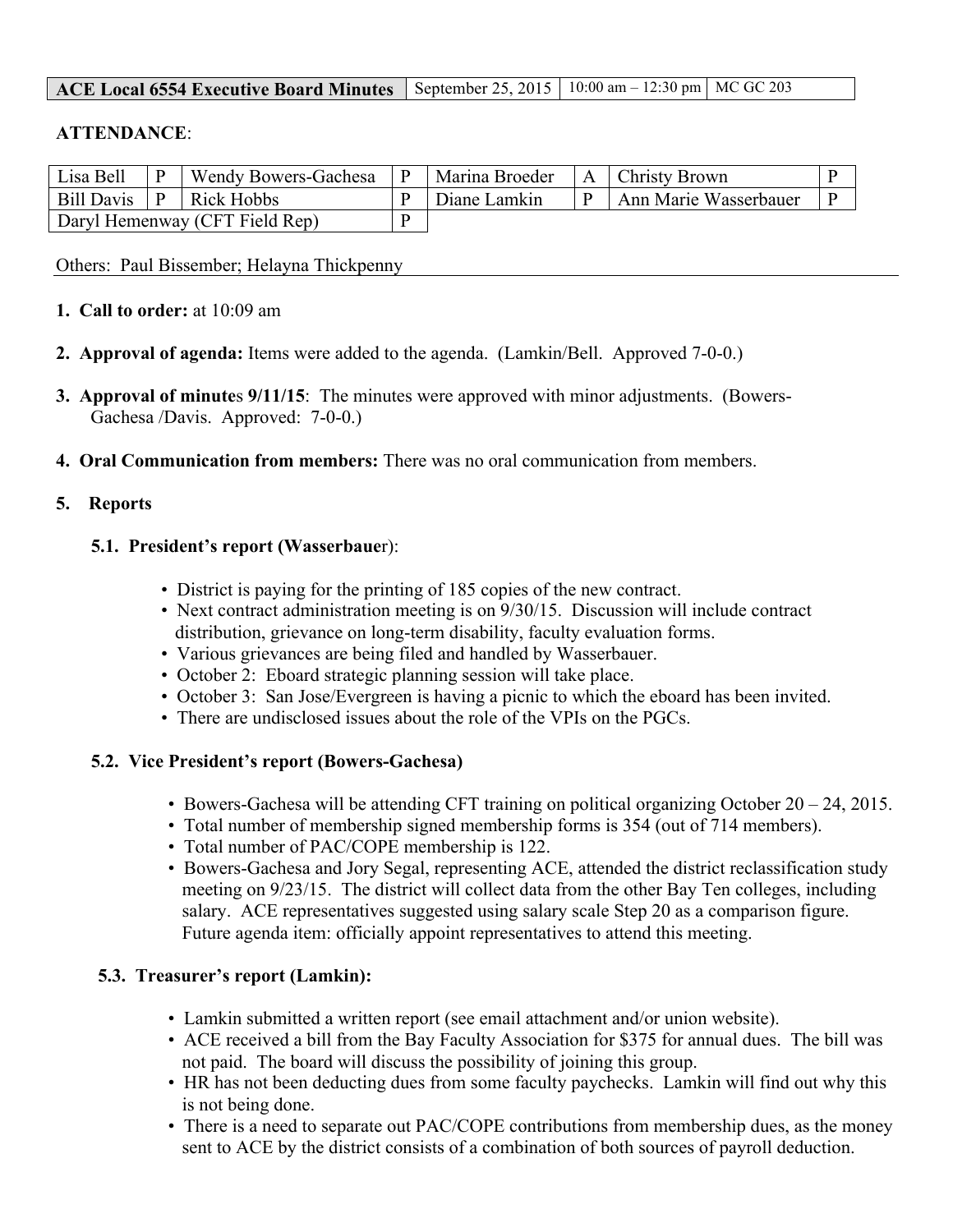| <b>ACE Local 6554 Executive Board Minutes</b> September 25, 2015   10:00 am $-$ 12:30 pm   MC GC 203 |  |  |  |
|------------------------------------------------------------------------------------------------------|--|--|--|
|------------------------------------------------------------------------------------------------------|--|--|--|

## **ATTENDANCE**:

| Lisa Bell                      |              | Wendy Bowers-Gachesa | $\mathbf{P}$ | Marina Broeder | A Christy Brown       |  |
|--------------------------------|--------------|----------------------|--------------|----------------|-----------------------|--|
| <b>Bill Davis</b>              | $\mathbf{P}$ | Rick Hobbs           |              | Diane Lamkin   | Ann Marie Wasserbauer |  |
| Daryl Hemenway (CFT Field Rep) |              |                      |              |                |                       |  |

Others: Paul Bissember; Helayna Thickpenny

- **1. Call to order:** at 10:09 am
- **2. Approval of agenda:** Items were added to the agenda. (Lamkin/Bell. Approved 7-0-0.)
- **3. Approval of minute**s **9/11/15**: The minutes were approved with minor adjustments. (Bowers-Gachesa /Davis. Approved: 7-0-0.)
- **4. Oral Communication from members:** There was no oral communication from members.

## **5. Reports**

#### **5.1. President's report (Wasserbaue**r):

- District is paying for the printing of 185 copies of the new contract.
- Next contract administration meeting is on 9/30/15. Discussion will include contract distribution, grievance on long-term disability, faculty evaluation forms.
- Various grievances are being filed and handled by Wasserbauer.
- October 2: Eboard strategic planning session will take place.
- October 3: San Jose/Evergreen is having a picnic to which the eboard has been invited.
- There are undisclosed issues about the role of the VPIs on the PGCs.

## **5.2. Vice President's report (Bowers-Gachesa)**

- Bowers-Gachesa will be attending CFT training on political organizing October 20 24, 2015.
- Total number of membership signed membership forms is 354 (out of 714 members).
- Total number of PAC/COPE membership is 122.
- Bowers-Gachesa and Jory Segal, representing ACE, attended the district reclassification study meeting on 9/23/15. The district will collect data from the other Bay Ten colleges, including salary. ACE representatives suggested using salary scale Step 20 as a comparison figure. Future agenda item: officially appoint representatives to attend this meeting.

## **5.3. Treasurer's report (Lamkin):**

- Lamkin submitted a written report (see email attachment and/or union website).
- ACE received a bill from the Bay Faculty Association for \$375 for annual dues. The bill was not paid. The board will discuss the possibility of joining this group.
- HR has not been deducting dues from some faculty paychecks. Lamkin will find out why this is not being done.
- There is a need to separate out PAC/COPE contributions from membership dues, as the money sent to ACE by the district consists of a combination of both sources of payroll deduction.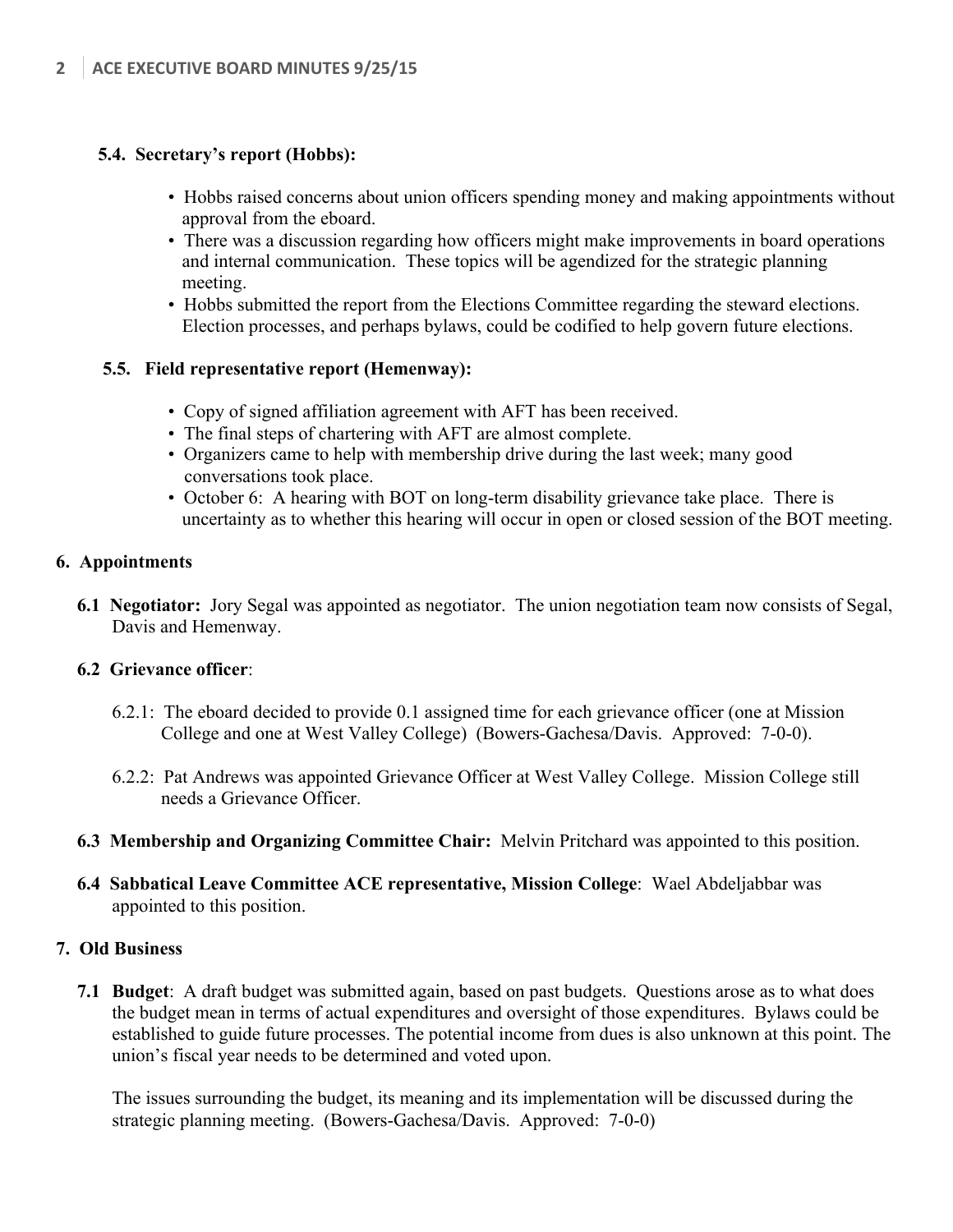## **5.4. Secretary's report (Hobbs):**

- Hobbs raised concerns about union officers spending money and making appointments without approval from the eboard.
- There was a discussion regarding how officers might make improvements in board operations and internal communication. These topics will be agendized for the strategic planning meeting.
- Hobbs submitted the report from the Elections Committee regarding the steward elections. Election processes, and perhaps bylaws, could be codified to help govern future elections.

## **5.5. Field representative report (Hemenway):**

- Copy of signed affiliation agreement with AFT has been received.
- The final steps of chartering with AFT are almost complete.
- Organizers came to help with membership drive during the last week; many good conversations took place.
- October 6: A hearing with BOT on long-term disability grievance take place. There is uncertainty as to whether this hearing will occur in open or closed session of the BOT meeting.

#### **6. Appointments**

**6.1 Negotiator:** Jory Segal was appointed as negotiator. The union negotiation team now consists of Segal, Davis and Hemenway.

#### **6.2 Grievance officer**:

- 6.2.1: The eboard decided to provide 0.1 assigned time for each grievance officer (one at Mission College and one at West Valley College) (Bowers-Gachesa/Davis. Approved: 7-0-0).
- 6.2.2: Pat Andrews was appointed Grievance Officer at West Valley College. Mission College still needs a Grievance Officer.
- **6.3 Membership and Organizing Committee Chair:** Melvin Pritchard was appointed to this position.
- **6.4 Sabbatical Leave Committee ACE representative, Mission College**: Wael Abdeljabbar was appointed to this position.

#### **7. Old Business**

**7.1 Budget**: A draft budget was submitted again, based on past budgets. Questions arose as to what does the budget mean in terms of actual expenditures and oversight of those expenditures. Bylaws could be established to guide future processes. The potential income from dues is also unknown at this point. The union's fiscal year needs to be determined and voted upon.

The issues surrounding the budget, its meaning and its implementation will be discussed during the strategic planning meeting. (Bowers-Gachesa/Davis. Approved: 7-0-0)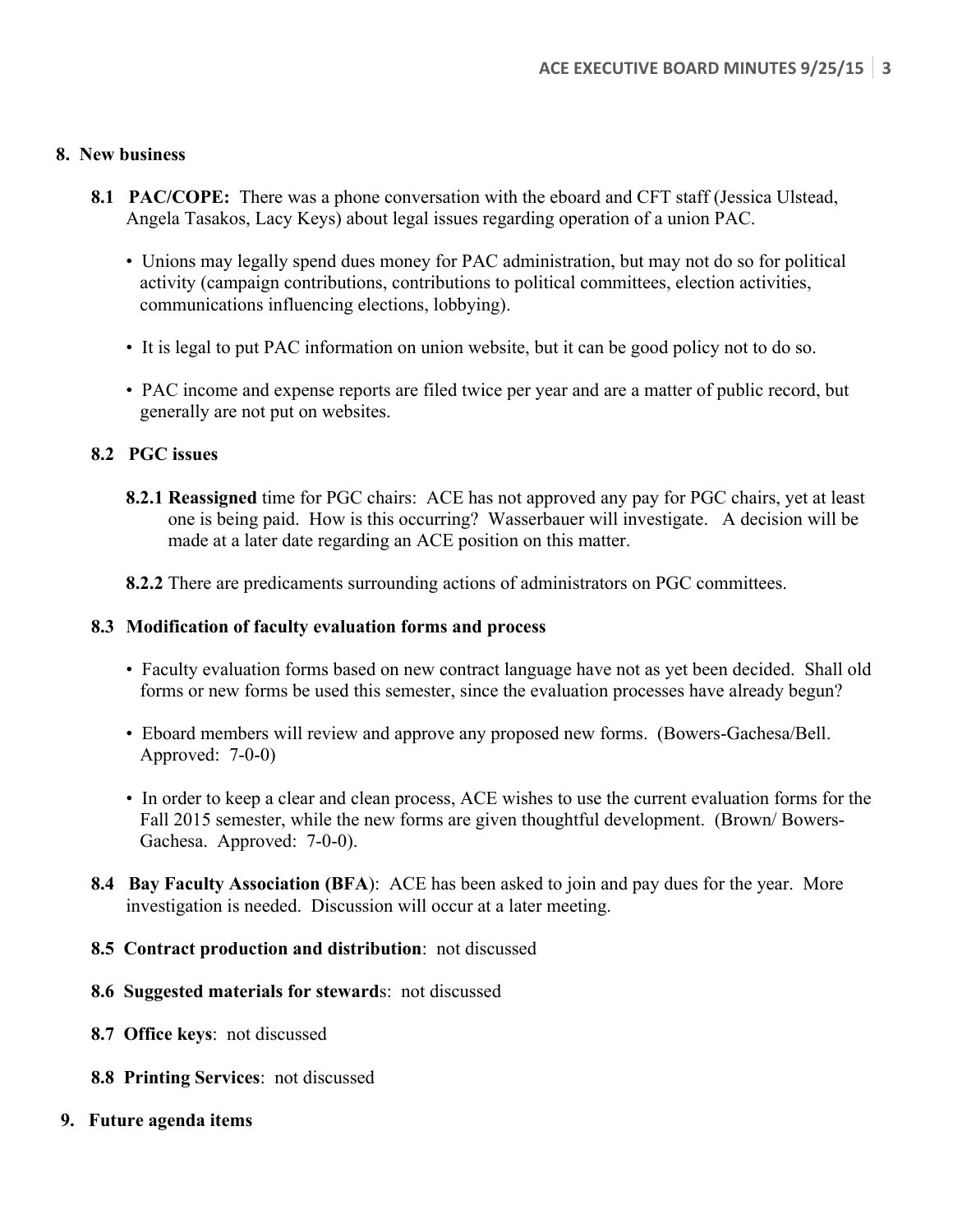## **8. New business**

- 8.1 PAC/COPE: There was a phone conversation with the eboard and CFT staff (Jessica Ulstead, Angela Tasakos, Lacy Keys) about legal issues regarding operation of a union PAC.
	- Unions may legally spend dues money for PAC administration, but may not do so for political activity (campaign contributions, contributions to political committees, election activities, communications influencing elections, lobbying).
	- It is legal to put PAC information on union website, but it can be good policy not to do so.
	- PAC income and expense reports are filed twice per year and are a matter of public record, but generally are not put on websites.

## **8.2 PGC issues**

- **8.2.1 Reassigned** time for PGC chairs: ACE has not approved any pay for PGC chairs, yet at least one is being paid. How is this occurring? Wasserbauer will investigate. A decision will be made at a later date regarding an ACE position on this matter.
- **8.2.2** There are predicaments surrounding actions of administrators on PGC committees.

## **8.3 Modification of faculty evaluation forms and process**

- Faculty evaluation forms based on new contract language have not as yet been decided. Shall old forms or new forms be used this semester, since the evaluation processes have already begun?
- Eboard members will review and approve any proposed new forms. (Bowers-Gachesa/Bell. Approved: 7-0-0)
- In order to keep a clear and clean process, ACE wishes to use the current evaluation forms for the Fall 2015 semester, while the new forms are given thoughtful development. (Brown/ Bowers-Gachesa. Approved: 7-0-0).
- **8.4 Bay Faculty Association (BFA**): ACE has been asked to join and pay dues for the year. More investigation is needed. Discussion will occur at a later meeting.
- **8.5 Contract production and distribution**: not discussed
- **8.6 Suggested materials for steward**s: not discussed
- **8.7 Office keys**: not discussed
- **8.8 Printing Services**: not discussed
- **9. Future agenda items**